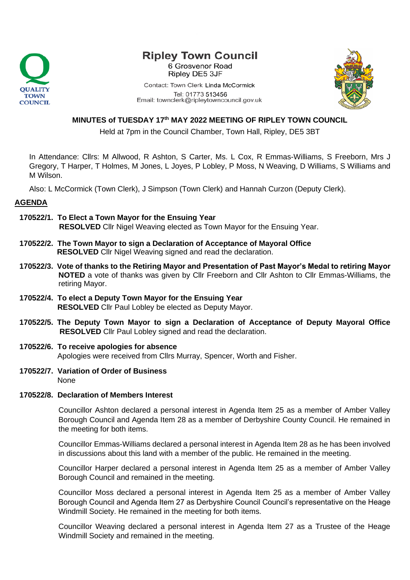

# **Ripley Town Council**

6 Grosvenor Road Ripley DE5 3JF

Contact: Town Clerk Linda McCormick Tel: 01773 513456 Email: townclerk@ripleytowncouncil.gov.uk



# **MINUTES of TUESDAY 17th MAY 2022 MEETING OF RIPLEY TOWN COUNCIL**

Held at 7pm in the Council Chamber, Town Hall, Ripley, DE5 3BT

In Attendance: Cllrs: M Allwood, R Ashton, S Carter, Ms. L Cox, R Emmas-Williams, S Freeborn, Mrs J Gregory, T Harper, T Holmes, M Jones, L Joyes, P Lobley, P Moss, N Weaving, D Williams, S Williams and M Wilson.

Also: L McCormick (Town Clerk), J Simpson (Town Clerk) and Hannah Curzon (Deputy Clerk).

## **AGENDA**

- **170522/1. To Elect a Town Mayor for the Ensuing Year RESOLVED** Cllr Nigel Weaving elected as Town Mayor for the Ensuing Year.
- **170522/2. The Town Mayor to sign a Declaration of Acceptance of Mayoral Office RESOLVED** Cllr Nigel Weaving signed and read the declaration.
- **170522/3. Vote of thanks to the Retiring Mayor and Presentation of Past Mayor's Medal to retiring Mayor NOTED** a vote of thanks was given by Cllr Freeborn and Cllr Ashton to Cllr Emmas-Williams, the retiring Mayor.
- **170522/4. To elect a Deputy Town Mayor for the Ensuing Year RESOLVED** Cllr Paul Lobley be elected as Deputy Mayor.
- **170522/5. The Deputy Town Mayor to sign a Declaration of Acceptance of Deputy Mayoral Office RESOLVED** Cllr Paul Lobley signed and read the declaration.
- **170522/6. To receive apologies for absence** Apologies were received from Cllrs Murray, Spencer, Worth and Fisher.
- **170522/7. Variation of Order of Business** None

### **170522/8. Declaration of Members Interest**

Councillor Ashton declared a personal interest in Agenda Item 25 as a member of Amber Valley Borough Council and Agenda Item 28 as a member of Derbyshire County Council. He remained in the meeting for both items.

Councillor Emmas-Williams declared a personal interest in Agenda Item 28 as he has been involved in discussions about this land with a member of the public. He remained in the meeting.

Councillor Harper declared a personal interest in Agenda Item 25 as a member of Amber Valley Borough Council and remained in the meeting.

Councillor Moss declared a personal interest in Agenda Item 25 as a member of Amber Valley Borough Council and Agenda Item 27 as Derbyshire Council Council's representative on the Heage Windmill Society. He remained in the meeting for both items.

Councillor Weaving declared a personal interest in Agenda Item 27 as a Trustee of the Heage Windmill Society and remained in the meeting.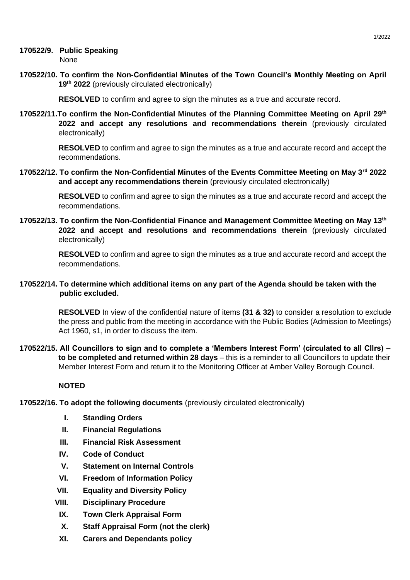**170522/10. To confirm the Non-Confidential Minutes of the Town Council's Monthly Meeting on April 19th 2022** (previously circulated electronically)

**RESOLVED** to confirm and agree to sign the minutes as a true and accurate record.

**170522/11.To confirm the Non-Confidential Minutes of the Planning Committee Meeting on April 29th 2022 and accept any resolutions and recommendations therein** (previously circulated electronically)

> **RESOLVED** to confirm and agree to sign the minutes as a true and accurate record and accept the recommendations.

**170522/12. To confirm the Non-Confidential Minutes of the Events Committee Meeting on May 3rd 2022 and accept any recommendations therein** (previously circulated electronically)

> **RESOLVED** to confirm and agree to sign the minutes as a true and accurate record and accept the recommendations.

**170522/13. To confirm the Non-Confidential Finance and Management Committee Meeting on May 13th 2022 and accept and resolutions and recommendations therein** (previously circulated electronically)

> **RESOLVED** to confirm and agree to sign the minutes as a true and accurate record and accept the recommendations.

# **170522/14. To determine which additional items on any part of the Agenda should be taken with the public excluded.**

**RESOLVED** In view of the confidential nature of items **(31 & 32)** to consider a resolution to exclude the press and public from the meeting in accordance with the Public Bodies (Admission to Meetings) Act 1960, s1, in order to discuss the item.

**170522/15. All Councillors to sign and to complete a 'Members Interest Form' (circulated to all Cllrs) – to be completed and returned within 28 days** – this is a reminder to all Councillors to update their Member Interest Form and return it to the Monitoring Officer at Amber Valley Borough Council.

# **NOTED**

- **170522/16. To adopt the following documents** (previously circulated electronically)
	- **I. Standing Orders**
	- **II. Financial Regulations**
	- **III. Financial Risk Assessment**
	- **IV. Code of Conduct**
	- **V. Statement on Internal Controls**
	- **VI. Freedom of Information Policy**
	- **VII. Equality and Diversity Policy**
	- **VIII. Disciplinary Procedure**
		- **IX. Town Clerk Appraisal Form**
		- **X. Staff Appraisal Form (not the clerk)**
	- **XI. Carers and Dependants policy**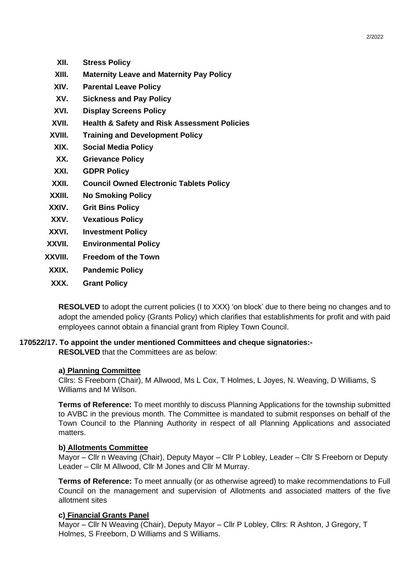- **XII. Stress Policy**
- **XIII. Maternity Leave and Maternity Pay Policy**
- **XIV. Parental Leave Policy**
- **XV. Sickness and Pay Policy**
- **XVI. Display Screens Policy**
- **XVII. Health & Safety and Risk Assessment Policies**
- **XVIII. Training and Development Policy**
	- **XIX. Social Media Policy**
	- **XX. Grievance Policy**
	- **XXI. GDPR Policy**
- **XXII. Council Owned Electronic Tablets Policy**
- **XXIII. No Smoking Policy**
- **XXIV. Grit Bins Policy**
- **XXV. Vexatious Policy**
- **XXVI. Investment Policy**
- **XXVII. Environmental Policy**
- **XXVIII. Freedom of the Town**
- **XXIX. Pandemic Policy**
- **XXX. Grant Policy**

**RESOLVED** to adopt the current policies (I to XXX) 'on block' due to there being no changes and to adopt the amended policy (Grants Policy) which clarifies that establishments for profit and with paid employees cannot obtain a financial grant from Ripley Town Council.

# **170522/17. To appoint the under mentioned Committees and cheque signatories:-**

**RESOLVED** that the Committees are as below:

#### **a) Planning Committee**

Cllrs: S Freeborn (Chair), M Allwood, Ms L Cox, T Holmes, L Joyes, N. Weaving, D Williams, S Williams and M Wilson.

**Terms of Reference:** To meet monthly to discuss Planning Applications for the township submitted to AVBC in the previous month. The Committee is mandated to submit responses on behalf of the Town Council to the Planning Authority in respect of all Planning Applications and associated matters.

### **b) Allotments Committee**

Mayor – Cllr n Weaving (Chair), Deputy Mayor – Cllr P Lobley, Leader – Cllr S Freeborn or Deputy Leader – Cllr M Allwood, Cllr M Jones and Cllr M Murray.

**Terms of Reference:** To meet annually (or as otherwise agreed) to make recommendations to Full Council on the management and supervision of Allotments and associated matters of the five allotment sites

#### **c) Financial Grants Panel**

Mayor – Cllr N Weaving (Chair), Deputy Mayor – Cllr P Lobley, Cllrs: R Ashton, J Gregory, T Holmes, S Freeborn, D Williams and S Williams.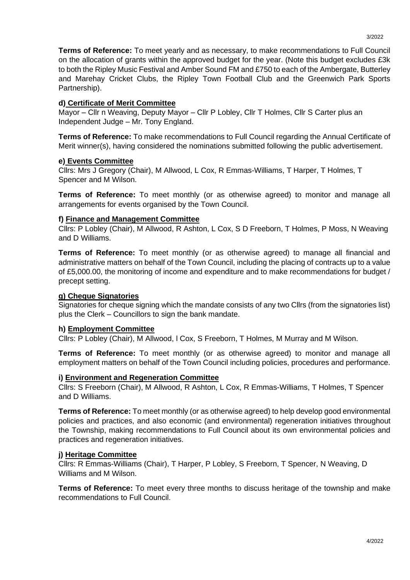**Terms of Reference:** To meet yearly and as necessary, to make recommendations to Full Council on the allocation of grants within the approved budget for the year. (Note this budget excludes £3k to both the Ripley Music Festival and Amber Sound FM and £750 to each of the Ambergate, Butterley and Marehay Cricket Clubs, the Ripley Town Football Club and the Greenwich Park Sports Partnership).

## **d) Certificate of Merit Committee**

Mayor – Cllr n Weaving, Deputy Mayor – Cllr P Lobley, Cllr T Holmes, Cllr S Carter plus an Independent Judge – Mr. Tony England.

**Terms of Reference:** To make recommendations to Full Council regarding the Annual Certificate of Merit winner(s), having considered the nominations submitted following the public advertisement.

#### **e) Events Committee**

Cllrs: Mrs J Gregory (Chair), M Allwood, L Cox, R Emmas-Williams, T Harper, T Holmes, T Spencer and M Wilson.

**Terms of Reference:** To meet monthly (or as otherwise agreed) to monitor and manage all arrangements for events organised by the Town Council.

## **f) Finance and Management Committee**

Cllrs: P Lobley (Chair), M Allwood, R Ashton, L Cox, S D Freeborn, T Holmes, P Moss, N Weaving and D Williams.

**Terms of Reference:** To meet monthly (or as otherwise agreed) to manage all financial and administrative matters on behalf of the Town Council, including the placing of contracts up to a value of £5,000.00, the monitoring of income and expenditure and to make recommendations for budget / precept setting.

### **g) Cheque Signatories**

Signatories for cheque signing which the mandate consists of any two Cllrs (from the signatories list) plus the Clerk – Councillors to sign the bank mandate.

#### **h) Employment Committee**

Cllrs: P Lobley (Chair), M Allwood, l Cox, S Freeborn, T Holmes, M Murray and M Wilson.

**Terms of Reference:** To meet monthly (or as otherwise agreed) to monitor and manage all employment matters on behalf of the Town Council including policies, procedures and performance.

#### **i) Environment and Regeneration Committee**

Cllrs: S Freeborn (Chair), M Allwood, R Ashton, L Cox, R Emmas-Williams, T Holmes, T Spencer and D Williams.

**Terms of Reference:** To meet monthly (or as otherwise agreed) to help develop good environmental policies and practices, and also economic (and environmental) regeneration initiatives throughout the Township, making recommendations to Full Council about its own environmental policies and practices and regeneration initiatives.

#### **j) Heritage Committee**

Cllrs: R Emmas-Williams (Chair), T Harper, P Lobley, S Freeborn, T Spencer, N Weaving, D Williams and M Wilson.

**Terms of Reference:** To meet every three months to discuss heritage of the township and make recommendations to Full Council.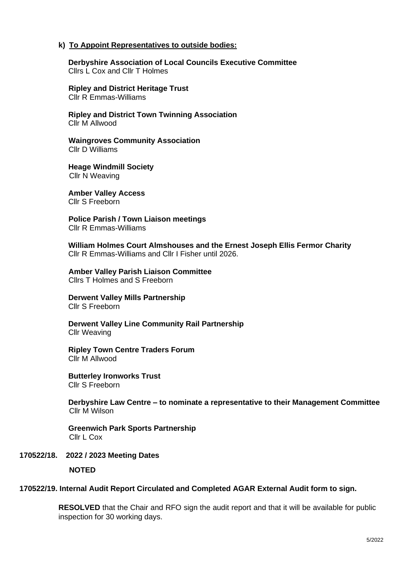## **k) To Appoint Representatives to outside bodies:**

**Derbyshire Association of Local Councils Executive Committee** Cllrs L Cox and Cllr T Holmes

**Ripley and District Heritage Trust** Cllr R Emmas-Williams

**Ripley and District Town Twinning Association** Cllr M Allwood

**Waingroves Community Association**  Cllr D Williams

**Heage Windmill Society**  Cllr N Weaving

**Amber Valley Access**  Cllr S Freeborn

**Police Parish / Town Liaison meetings**  Cllr R Emmas-Williams

**William Holmes Court Almshouses and the Ernest Joseph Ellis Fermor Charity**  Cllr R Emmas-Williams and Cllr I Fisher until 2026.

**Amber Valley Parish Liaison Committee**  Cllrs T Holmes and S Freeborn

**Derwent Valley Mills Partnership**  Cllr S Freeborn

**Derwent Valley Line Community Rail Partnership**  Cllr Weaving

**Ripley Town Centre Traders Forum** Cllr M Allwood

**Butterley Ironworks Trust** Cllr S Freeborn

**Derbyshire Law Centre – to nominate a representative to their Management Committee** Cllr M Wilson

**Greenwich Park Sports Partnership** Cllr L Cox

#### **170522/18. 2022 / 2023 Meeting Dates**

#### **NOTED**

#### **170522/19. Internal Audit Report Circulated and Completed AGAR External Audit form to sign.**

**RESOLVED** that the Chair and RFO sign the audit report and that it will be available for public inspection for 30 working days.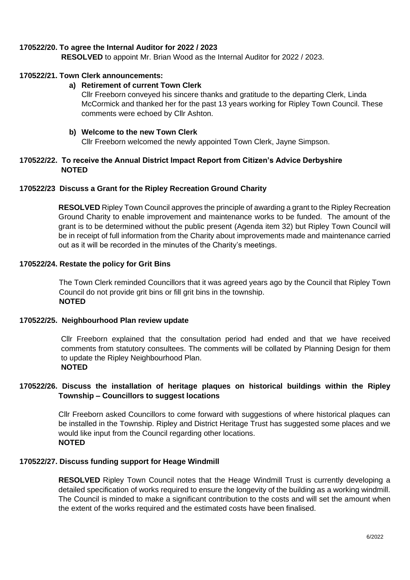## **170522/20. To agree the Internal Auditor for 2022 / 2023**

 **RESOLVED** to appoint Mr. Brian Wood as the Internal Auditor for 2022 / 2023.

## **170522/21. Town Clerk announcements:**

## **a) Retirement of current Town Clerk**

Cllr Freeborn conveyed his sincere thanks and gratitude to the departing Clerk, Linda McCormick and thanked her for the past 13 years working for Ripley Town Council. These comments were echoed by Cllr Ashton.

# **b) Welcome to the new Town Clerk**

Cllr Freeborn welcomed the newly appointed Town Clerk, Jayne Simpson.

## **170522/22. To receive the Annual District Impact Report from Citizen's Advice Derbyshire NOTED**

## **170522/23 Discuss a Grant for the Ripley Recreation Ground Charity**

**RESOLVED** Ripley Town Council approves the principle of awarding a grant to the Ripley Recreation Ground Charity to enable improvement and maintenance works to be funded. The amount of the grant is to be determined without the public present (Agenda item 32) but Ripley Town Council will be in receipt of full information from the Charity about improvements made and maintenance carried out as it will be recorded in the minutes of the Charity's meetings.

## **170522/24. Restate the policy for Grit Bins**

The Town Clerk reminded Councillors that it was agreed years ago by the Council that Ripley Town Council do not provide grit bins or fill grit bins in the township. **NOTED**

## **170522/25. Neighbourhood Plan review update**

Cllr Freeborn explained that the consultation period had ended and that we have received comments from statutory consultees. The comments will be collated by Planning Design for them to update the Ripley Neighbourhood Plan. **NOTED**

## **170522/26. Discuss the installation of heritage plaques on historical buildings within the Ripley Township – Councillors to suggest locations**

Cllr Freeborn asked Councillors to come forward with suggestions of where historical plaques can be installed in the Township. Ripley and District Heritage Trust has suggested some places and we would like input from the Council regarding other locations. **NOTED**

## **170522/27. Discuss funding support for Heage Windmill**

**RESOLVED** Ripley Town Council notes that the Heage Windmill Trust is currently developing a detailed specification of works required to ensure the longevity of the building as a working windmill. The Council is minded to make a significant contribution to the costs and will set the amount when the extent of the works required and the estimated costs have been finalised.